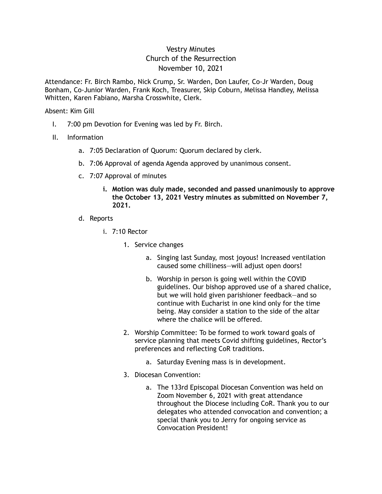# Vestry Minutes Church of the Resurrection November 10, 2021

Attendance: Fr. Birch Rambo, Nick Crump, Sr. Warden, Don Laufer, Co-Jr Warden, Doug Bonham, Co-Junior Warden, Frank Koch, Treasurer, Skip Coburn, Melissa Handley, Melissa Whitten, Karen Fabiano, Marsha Crosswhite, Clerk.

#### Absent: Kim Gill

- I. 7:00 pm Devotion for Evening was led by Fr. Birch.
- II. Information
	- a. 7:05 Declaration of Quorum: Quorum declared by clerk.
	- b. 7:06 Approval of agenda Agenda approved by unanimous consent.
	- c. 7:07 Approval of minutes
		- **i. Motion was duly made, seconded and passed unanimously to approve the October 13, 2021 Vestry minutes as submitted on November 7, 2021.**
	- d. Reports
		- i. 7:10 Rector
			- 1. Service changes
				- a. Singing last Sunday, most joyous! Increased ventilation caused some chilliness—will adjust open doors!
				- b. Worship in person is going well within the COVID guidelines. Our bishop approved use of a shared chalice, but we will hold given parishioner feedback—and so continue with Eucharist in one kind only for the time being. May consider a station to the side of the altar where the chalice will be offered.
			- 2. Worship Committee: To be formed to work toward goals of service planning that meets Covid shifting guidelines, Rector's preferences and reflecting CoR traditions.
				- a. Saturday Evening mass is in development.
			- 3. Diocesan Convention:
				- a. The 133rd Episcopal Diocesan Convention was held on Zoom November 6, 2021 with great attendance throughout the Diocese including CoR. Thank you to our delegates who attended convocation and convention; a special thank you to Jerry for ongoing service as Convocation President!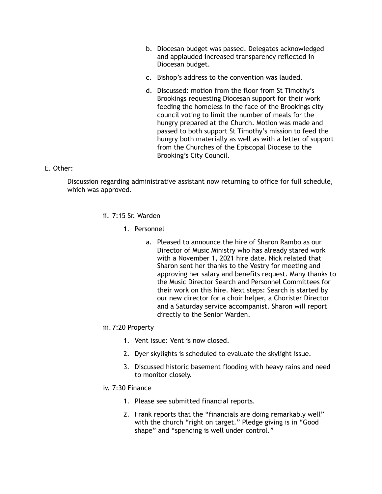- b. Diocesan budget was passed. Delegates acknowledged and applauded increased transparency reflected in Diocesan budget.
- c. Bishop's address to the convention was lauded.
- d. Discussed: motion from the floor from St Timothy's Brookings requesting Diocesan support for their work feeding the homeless in the face of the Brookings city council voting to limit the number of meals for the hungry prepared at the Church. Motion was made and passed to both support St Timothy's mission to feed the hungry both materially as well as with a letter of support from the Churches of the Episcopal Diocese to the Brooking's City Council.

### E. Other:

 Discussion regarding administrative assistant now returning to office for full schedule, which was approved.

- ii. 7:15 Sr. Warden
	- 1. Personnel
		- a. Pleased to announce the hire of Sharon Rambo as our Director of Music Ministry who has already stared work with a November 1, 2021 hire date. Nick related that Sharon sent her thanks to the Vestry for meeting and approving her salary and benefits request. Many thanks to the Music Director Search and Personnel Committees for their work on this hire. Next steps: Search is started by our new director for a choir helper, a Chorister Director and a Saturday service accompanist. Sharon will report directly to the Senior Warden.

#### iii. 7:20 Property

- 1. Vent issue: Vent is now closed.
- 2. Dyer skylights is scheduled to evaluate the skylight issue.
- 3. Discussed historic basement flooding with heavy rains and need to monitor closely.

#### iv. 7:30 Finance

- 1. Please see submitted financial reports.
- 2. Frank reports that the "financials are doing remarkably well" with the church "right on target." Pledge giving is in "Good shape" and "spending is well under control."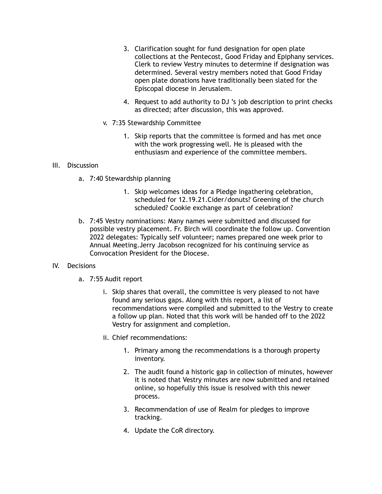- 3. Clarification sought for fund designation for open plate collections at the Pentecost, Good Friday and Epiphany services. Clerk to review Vestry minutes to determine if designation was determined. Several vestry members noted that Good Friday open plate donations have traditionally been slated for the Episcopal diocese in Jerusalem.
- 4. Request to add authority to DJ 's job description to print checks as directed; after discussion, this was approved.
- v. 7:35 Stewardship Committee
	- 1. Skip reports that the committee is formed and has met once with the work progressing well. He is pleased with the enthusiasm and experience of the committee members.

#### III. Discussion

- a. 7:40 Stewardship planning
	- 1. Skip welcomes ideas for a Pledge ingathering celebration, scheduled for 12.19.21.Cider/donuts? Greening of the church scheduled? Cookie exchange as part of celebration?
- b. 7:45 Vestry nominations: Many names were submitted and discussed for possible vestry placement. Fr. Birch will coordinate the follow up. Convention 2022 delegates: Typically self volunteer; names prepared one week prior to Annual Meeting.Jerry Jacobson recognized for his continuing service as Convocation President for the Diocese.

## IV. Decisions

- a. 7:55 Audit report
	- i. Skip shares that overall, the committee is very pleased to not have found any serious gaps. Along with this report, a list of recommendations were compiled and submitted to the Vestry to create a follow up plan. Noted that this work will be handed off to the 2022 Vestry for assignment and completion.
	- ii. Chief recommendations:
		- 1. Primary among the recommendations is a thorough property inventory.
		- 2. The audit found a historic gap in collection of minutes, however it is noted that Vestry minutes are now submitted and retained online, so hopefully this issue is resolved with this newer process.
		- 3. Recommendation of use of Realm for pledges to improve tracking.
		- 4. Update the CoR directory.